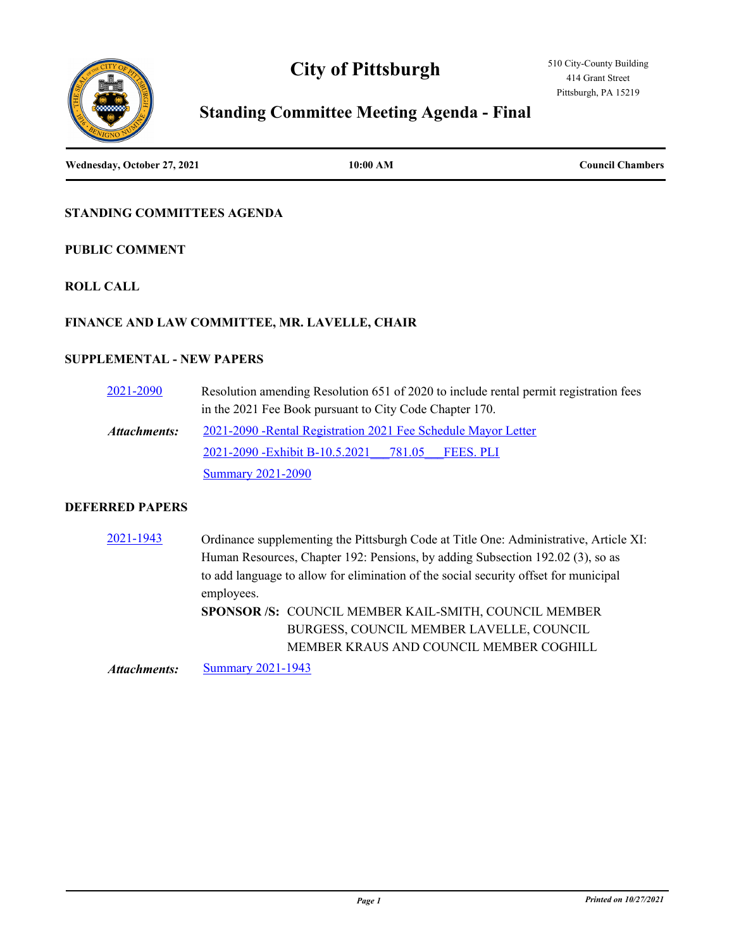# **City of Pittsburgh**



# **Standing Committee Meeting Agenda - Final**

**Wednesday, October 27, 2021 10:00 AM Council Chambers**

# **STANDING COMMITTEES AGENDA**

## **PUBLIC COMMENT**

# **ROLL CALL**

# **FINANCE AND LAW COMMITTEE, MR. LAVELLE, CHAIR**

# **SUPPLEMENTAL - NEW PAPERS**

| 2021-2090    | Resolution amending Resolution 651 of 2020 to include rental permit registration fees |  |
|--------------|---------------------------------------------------------------------------------------|--|
|              | in the 2021 Fee Book pursuant to City Code Chapter 170.                               |  |
| Attachments: | 2021-2090 - Rental Registration 2021 Fee Schedule Mayor Letter                        |  |
|              | 2021-2090 - Exhibit B-10.5.2021 781.05<br><b>FEES. PLI</b>                            |  |
|              | <b>Summary 2021-2090</b>                                                              |  |

#### **DEFERRED PAPERS**

[2021-1943](http://pittsburgh.legistar.com/gateway.aspx?m=l&id=/matter.aspx?key=26815) Ordinance supplementing the Pittsburgh Code at Title One: Administrative, Article XI: Human Resources, Chapter 192: Pensions, by adding Subsection 192.02 (3), so as to add language to allow for elimination of the social security offset for municipal employees. **SPONSOR /S:** COUNCIL MEMBER KAIL-SMITH, COUNCIL MEMBER BURGESS, COUNCIL MEMBER LAVELLE, COUNCIL MEMBER KRAUS AND COUNCIL MEMBER COGHILL

*Attachments:* [Summary 2021-1943](http://pittsburgh.legistar.com/gateway.aspx?M=F&ID=6e854c68-8203-4687-8c6d-d5a16eb77769.docx)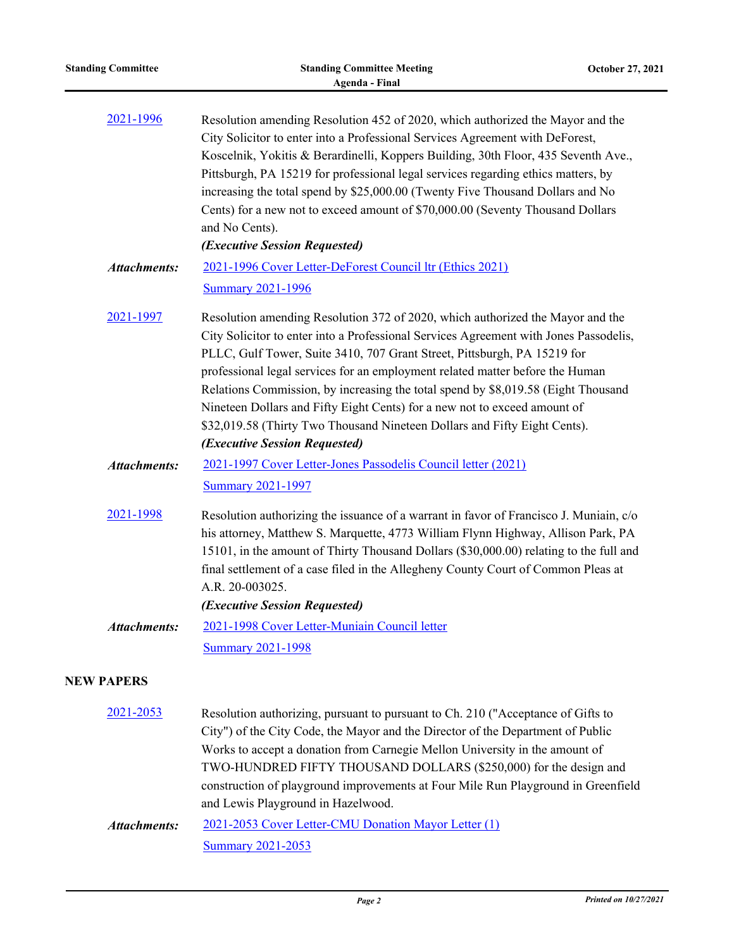| <b>Standing Committee</b>                                                                                                                                                                                                                                                                                                                                                                                                                                                                                                                                                      | <b>Standing Committee Meeting</b><br><b>Agenda - Final</b>                                                                                                                                                                                                                                                                                                                                                                                                                                                                                                                                                           | October 27, 2021 |
|--------------------------------------------------------------------------------------------------------------------------------------------------------------------------------------------------------------------------------------------------------------------------------------------------------------------------------------------------------------------------------------------------------------------------------------------------------------------------------------------------------------------------------------------------------------------------------|----------------------------------------------------------------------------------------------------------------------------------------------------------------------------------------------------------------------------------------------------------------------------------------------------------------------------------------------------------------------------------------------------------------------------------------------------------------------------------------------------------------------------------------------------------------------------------------------------------------------|------------------|
| 2021-1996<br>Resolution amending Resolution 452 of 2020, which authorized the Mayor and the<br>City Solicitor to enter into a Professional Services Agreement with DeForest,<br>Koscelnik, Yokitis & Berardinelli, Koppers Building, 30th Floor, 435 Seventh Ave.,<br>Pittsburgh, PA 15219 for professional legal services regarding ethics matters, by<br>increasing the total spend by \$25,000.00 (Twenty Five Thousand Dollars and No<br>Cents) for a new not to exceed amount of \$70,000.00 (Seventy Thousand Dollars<br>and No Cents).<br>(Executive Session Requested) |                                                                                                                                                                                                                                                                                                                                                                                                                                                                                                                                                                                                                      |                  |
| <b>Attachments:</b>                                                                                                                                                                                                                                                                                                                                                                                                                                                                                                                                                            | 2021-1996 Cover Letter-DeForest Council ltr (Ethics 2021)<br><b>Summary 2021-1996</b>                                                                                                                                                                                                                                                                                                                                                                                                                                                                                                                                |                  |
| 2021-1997                                                                                                                                                                                                                                                                                                                                                                                                                                                                                                                                                                      | Resolution amending Resolution 372 of 2020, which authorized the Mayor and the<br>City Solicitor to enter into a Professional Services Agreement with Jones Passodelis,<br>PLLC, Gulf Tower, Suite 3410, 707 Grant Street, Pittsburgh, PA 15219 for<br>professional legal services for an employment related matter before the Human<br>Relations Commission, by increasing the total spend by \$8,019.58 (Eight Thousand<br>Nineteen Dollars and Fifty Eight Cents) for a new not to exceed amount of<br>\$32,019.58 (Thirty Two Thousand Nineteen Dollars and Fifty Eight Cents).<br>(Executive Session Requested) |                  |
| <b>Attachments:</b>                                                                                                                                                                                                                                                                                                                                                                                                                                                                                                                                                            | 2021-1997 Cover Letter-Jones Passodelis Council letter (2021)<br><b>Summary 2021-1997</b>                                                                                                                                                                                                                                                                                                                                                                                                                                                                                                                            |                  |
| 2021-1998                                                                                                                                                                                                                                                                                                                                                                                                                                                                                                                                                                      | Resolution authorizing the issuance of a warrant in favor of Francisco J. Muniain, c/o<br>his attorney, Matthew S. Marquette, 4773 William Flynn Highway, Allison Park, PA<br>15101, in the amount of Thirty Thousand Dollars (\$30,000.00) relating to the full and<br>final settlement of a case filed in the Allegheny County Court of Common Pleas at<br>A.R. 20-003025.<br>(Executive Session Requested)                                                                                                                                                                                                        |                  |
| <b>Attachments:</b>                                                                                                                                                                                                                                                                                                                                                                                                                                                                                                                                                            | 2021-1998 Cover Letter-Muniain Council letter<br><b>Summary 2021-1998</b>                                                                                                                                                                                                                                                                                                                                                                                                                                                                                                                                            |                  |
| <b>NEW PAPERS</b>                                                                                                                                                                                                                                                                                                                                                                                                                                                                                                                                                              |                                                                                                                                                                                                                                                                                                                                                                                                                                                                                                                                                                                                                      |                  |
| 2021-2053                                                                                                                                                                                                                                                                                                                                                                                                                                                                                                                                                                      | Resolution authorizing, pursuant to pursuant to Ch. 210 ("Acceptance of Gifts to<br>City") of the City Code, the Mayor and the Director of the Department of Public<br>Works to accept a donation from Carnegie Mellon University in the amount of<br>TWO-HUNDRED FIFTY THOUSAND DOLLARS (\$250,000) for the design and                                                                                                                                                                                                                                                                                              |                  |

[2021-2053 Cover Letter-CMU Donation Mayor Letter \(1\)](http://pittsburgh.legistar.com/gateway.aspx?M=F&ID=fb6aa88e-e072-4377-b9c2-567513a84dad.docx) **[Summary 2021-2053](http://pittsburgh.legistar.com/gateway.aspx?M=F&ID=8fc73156-ea81-4ec5-9cfc-403d478703e1.docx)** *Attachments:*

and Lewis Playground in Hazelwood.

construction of playground improvements at Four Mile Run Playground in Greenfield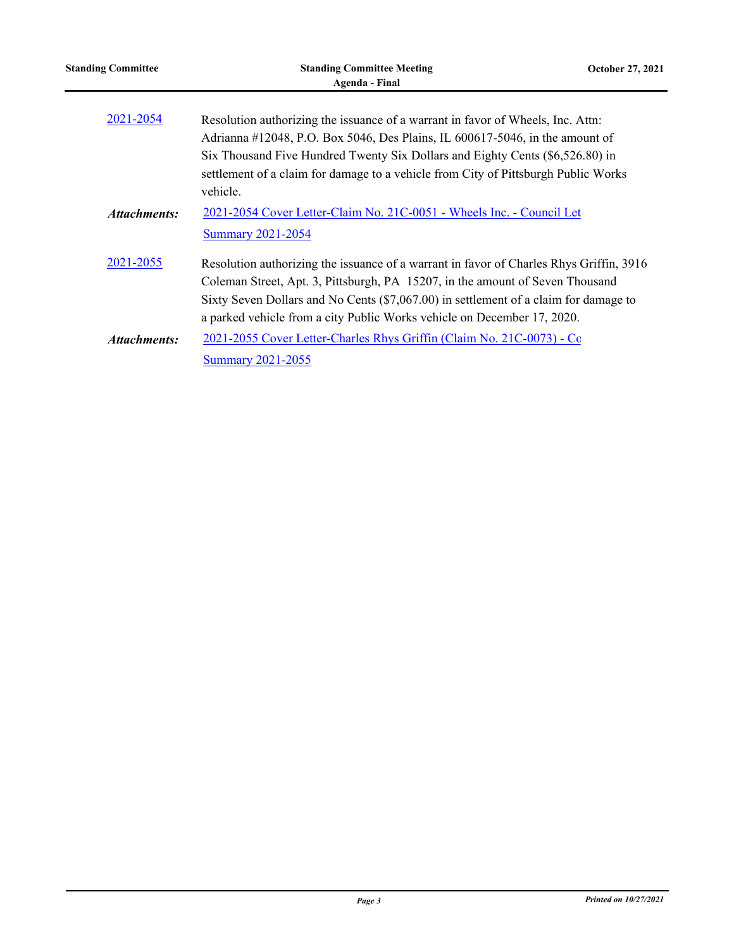| <b>Standing Committee</b> | <b>Standing Committee Meeting</b><br>Agenda - Final                                                                                                                                                                                                                                                                                         | October 27, 2021 |
|---------------------------|---------------------------------------------------------------------------------------------------------------------------------------------------------------------------------------------------------------------------------------------------------------------------------------------------------------------------------------------|------------------|
| 2021-2054                 | Resolution authorizing the issuance of a warrant in favor of Wheels, Inc. Attn:<br>Adrianna #12048, P.O. Box 5046, Des Plains, IL 600617-5046, in the amount of                                                                                                                                                                             |                  |
|                           | Six Thousand Five Hundred Twenty Six Dollars and Eighty Cents (\$6,526.80) in<br>settlement of a claim for damage to a vehicle from City of Pittsburgh Public Works<br>vehicle.                                                                                                                                                             |                  |
| Attachments:              | 2021-2054 Cover Letter-Claim No. 21C-0051 - Wheels Inc. - Council Let<br><b>Summary 2021-2054</b>                                                                                                                                                                                                                                           |                  |
| 2021-2055                 | Resolution authorizing the issuance of a warrant in favor of Charles Rhys Griffin, 3916<br>Coleman Street, Apt. 3, Pittsburgh, PA 15207, in the amount of Seven Thousand<br>Sixty Seven Dollars and No Cents (\$7,067.00) in settlement of a claim for damage to<br>a parked vehicle from a city Public Works vehicle on December 17, 2020. |                  |
| Attachments:              | 2021-2055 Cover Letter-Charles Rhys Griffin (Claim No. 21C-0073) - Co<br><b>Summary 2021-2055</b>                                                                                                                                                                                                                                           |                  |

÷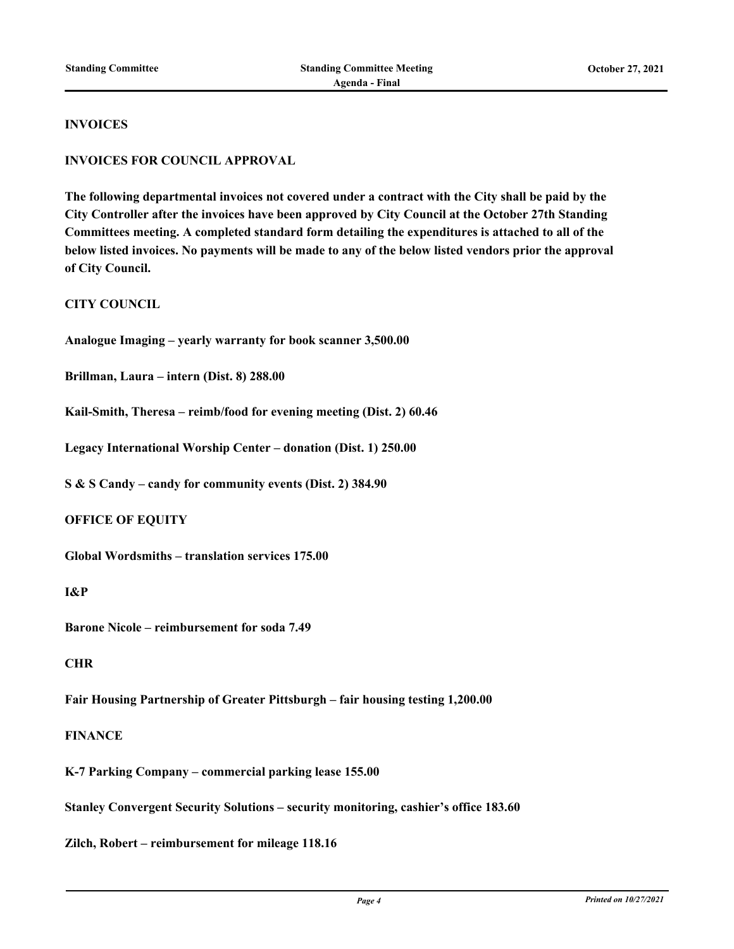#### **INVOICES**

#### **INVOICES FOR COUNCIL APPROVAL**

**The following departmental invoices not covered under a contract with the City shall be paid by the City Controller after the invoices have been approved by City Council at the October 27th Standing Committees meeting. A completed standard form detailing the expenditures is attached to all of the below listed invoices. No payments will be made to any of the below listed vendors prior the approval of City Council.**

**CITY COUNCIL**

**Analogue Imaging – yearly warranty for book scanner 3,500.00**

**Brillman, Laura – intern (Dist. 8) 288.00**

**Kail-Smith, Theresa – reimb/food for evening meeting (Dist. 2) 60.46**

**Legacy International Worship Center – donation (Dist. 1) 250.00**

**S & S Candy – candy for community events (Dist. 2) 384.90**

#### **OFFICE OF EQUITY**

**Global Wordsmiths – translation services 175.00**

#### **I&P**

**Barone Nicole – reimbursement for soda 7.49**

#### **CHR**

**Fair Housing Partnership of Greater Pittsburgh – fair housing testing 1,200.00**

## **FINANCE**

**K-7 Parking Company – commercial parking lease 155.00**

**Stanley Convergent Security Solutions – security monitoring, cashier's office 183.60**

**Zilch, Robert – reimbursement for mileage 118.16**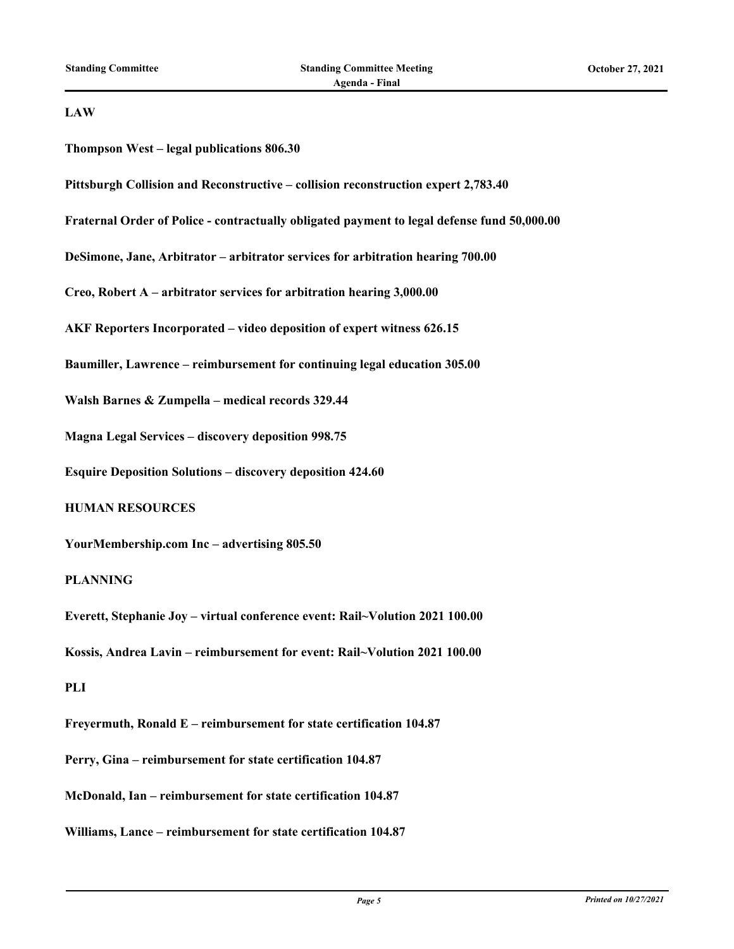#### **LAW**

**Thompson West – legal publications 806.30**

**Pittsburgh Collision and Reconstructive – collision reconstruction expert 2,783.40**

**Fraternal Order of Police - contractually obligated payment to legal defense fund 50,000.00**

**DeSimone, Jane, Arbitrator – arbitrator services for arbitration hearing 700.00**

**Creo, Robert A – arbitrator services for arbitration hearing 3,000.00**

**AKF Reporters Incorporated – video deposition of expert witness 626.15**

**Baumiller, Lawrence – reimbursement for continuing legal education 305.00**

**Walsh Barnes & Zumpella – medical records 329.44**

**Magna Legal Services – discovery deposition 998.75**

**Esquire Deposition Solutions – discovery deposition 424.60**

# **HUMAN RESOURCES**

**YourMembership.com Inc – advertising 805.50**

#### **PLANNING**

**Everett, Stephanie Joy – virtual conference event: Rail~Volution 2021 100.00**

**Kossis, Andrea Lavin – reimbursement for event: Rail~Volution 2021 100.00**

#### **PLI**

**Freyermuth, Ronald E – reimbursement for state certification 104.87 Perry, Gina – reimbursement for state certification 104.87**

**McDonald, Ian – reimbursement for state certification 104.87**

**Williams, Lance – reimbursement for state certification 104.87**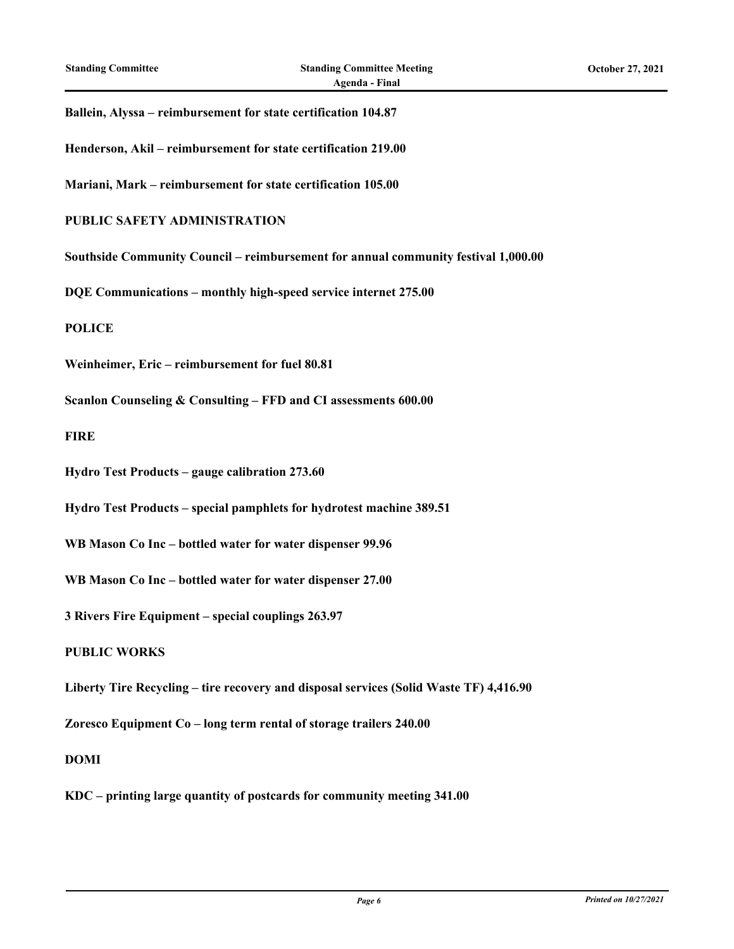#### **Ballein, Alyssa – reimbursement for state certification 104.87**

**Henderson, Akil – reimbursement for state certification 219.00**

**Mariani, Mark – reimbursement for state certification 105.00**

#### **PUBLIC SAFETY ADMINISTRATION**

**Southside Community Council – reimbursement for annual community festival 1,000.00**

**DQE Communications – monthly high-speed service internet 275.00**

**POLICE**

**Weinheimer, Eric – reimbursement for fuel 80.81**

**Scanlon Counseling & Consulting – FFD and CI assessments 600.00**

**FIRE**

**Hydro Test Products – gauge calibration 273.60**

**Hydro Test Products – special pamphlets for hydrotest machine 389.51**

**WB Mason Co Inc – bottled water for water dispenser 99.96**

**WB Mason Co Inc – bottled water for water dispenser 27.00**

**3 Rivers Fire Equipment – special couplings 263.97**

**PUBLIC WORKS**

**Liberty Tire Recycling – tire recovery and disposal services (Solid Waste TF) 4,416.90**

**Zoresco Equipment Co – long term rental of storage trailers 240.00**

**DOMI**

**KDC – printing large quantity of postcards for community meeting 341.00**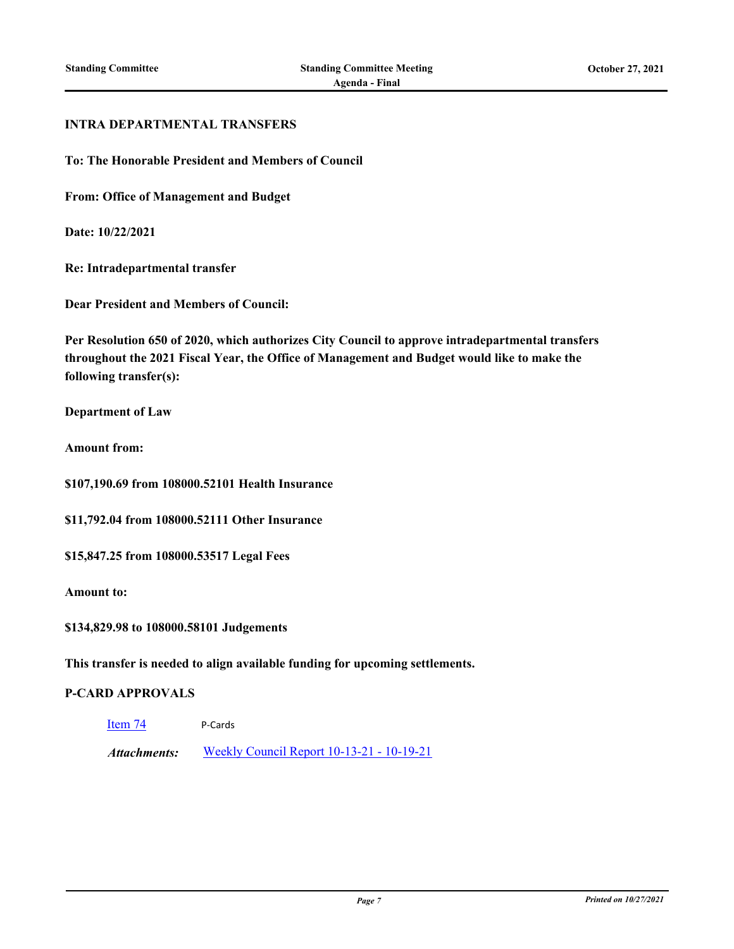#### **INTRA DEPARTMENTAL TRANSFERS**

**To: The Honorable President and Members of Council**

**From: Office of Management and Budget**

**Date: 10/22/2021**

**Re: Intradepartmental transfer**

**Dear President and Members of Council:**

**Per Resolution 650 of 2020, which authorizes City Council to approve intradepartmental transfers throughout the 2021 Fiscal Year, the Office of Management and Budget would like to make the following transfer(s):**

**Department of Law**

**Amount from:**

**\$107,190.69 from 108000.52101 Health Insurance**

**\$11,792.04 from 108000.52111 Other Insurance**

**\$15,847.25 from 108000.53517 Legal Fees**

**Amount to:**

**\$134,829.98 to 108000.58101 Judgements**

**This transfer is needed to align available funding for upcoming settlements.**

## **P-CARD APPROVALS**

[Item 74](http://pittsburgh.legistar.com/gateway.aspx?m=l&id=/matter.aspx?key=26986) P-Cards

*Attachments:* [Weekly Council Report 10-13-21 - 10-19-21](http://pittsburgh.legistar.com/gateway.aspx?M=F&ID=b5969eeb-291c-415f-8aaf-c71b03cde162.xlsx)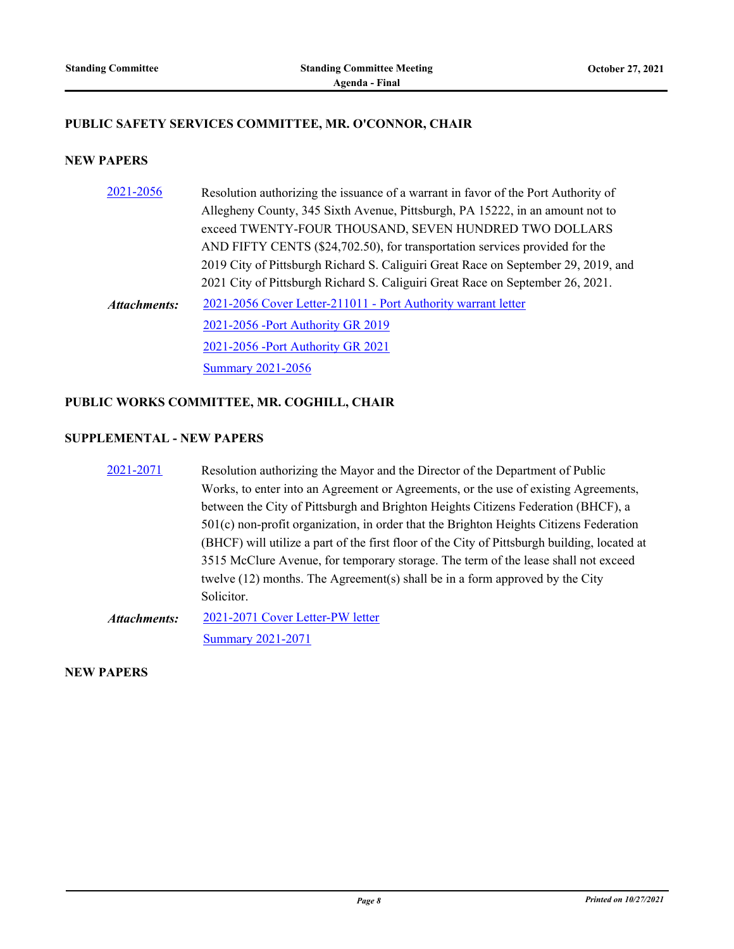# **PUBLIC SAFETY SERVICES COMMITTEE, MR. O'CONNOR, CHAIR**

## **NEW PAPERS**

| 2021-2056           | Resolution authorizing the issuance of a warrant in favor of the Port Authority of |
|---------------------|------------------------------------------------------------------------------------|
|                     | Allegheny County, 345 Sixth Avenue, Pittsburgh, PA 15222, in an amount not to      |
|                     | exceed TWENTY-FOUR THOUSAND, SEVEN HUNDRED TWO DOLLARS                             |
|                     | AND FIFTY CENTS (\$24,702.50), for transportation services provided for the        |
|                     | 2019 City of Pittsburgh Richard S. Caliguiri Great Race on September 29, 2019, and |
|                     | 2021 City of Pittsburgh Richard S. Caliguiri Great Race on September 26, 2021.     |
| <b>Attachments:</b> | 2021-2056 Cover Letter-211011 - Port Authority warrant letter                      |
|                     | 2021-2056 - Port Authority GR 2019                                                 |
|                     | 2021-2056 - Port Authority GR 2021                                                 |
|                     | <b>Summary 2021-2056</b>                                                           |

# **PUBLIC WORKS COMMITTEE, MR. COGHILL, CHAIR**

# **SUPPLEMENTAL - NEW PAPERS**

| 2021-2071    | Resolution authorizing the Mayor and the Director of the Department of Public                |
|--------------|----------------------------------------------------------------------------------------------|
|              | Works, to enter into an Agreement or Agreements, or the use of existing Agreements,          |
|              | between the City of Pittsburgh and Brighton Heights Citizens Federation (BHCF), a            |
|              | 501(c) non-profit organization, in order that the Brighton Heights Citizens Federation       |
|              | (BHCF) will utilize a part of the first floor of the City of Pittsburgh building, located at |
|              | 3515 McClure Avenue, for temporary storage. The term of the lease shall not exceed           |
|              | twelve $(12)$ months. The Agreement $(s)$ shall be in a form approved by the City            |
|              | Solicitor.                                                                                   |
| Attachments: | 2021-2071 Cover Letter-PW letter                                                             |
|              | <b>Summary 2021-2071</b>                                                                     |

**NEW PAPERS**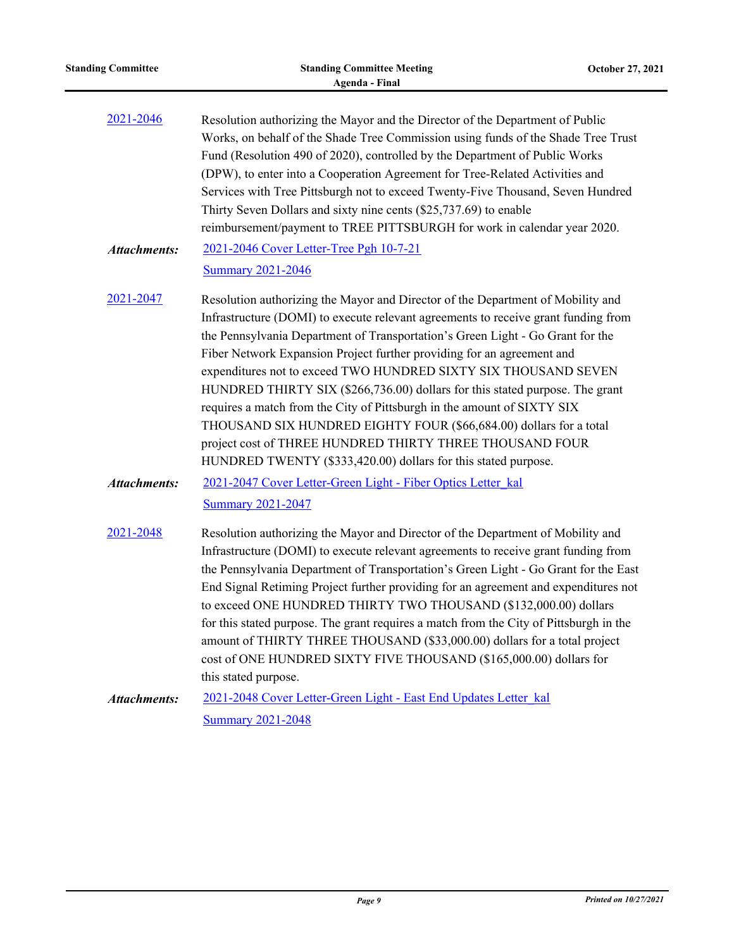| <b>Standing Committee</b>                                                                                                                                                                                                                                                                                                                                                                                                                                                                                                                                                          | <b>Standing Committee Meeting</b><br><b>Agenda - Final</b>                                                                                                                                                                                                                                                                                                                                                                                                                                                                                                                                                                                                                                                                                                          | October 27, 2021 |
|------------------------------------------------------------------------------------------------------------------------------------------------------------------------------------------------------------------------------------------------------------------------------------------------------------------------------------------------------------------------------------------------------------------------------------------------------------------------------------------------------------------------------------------------------------------------------------|---------------------------------------------------------------------------------------------------------------------------------------------------------------------------------------------------------------------------------------------------------------------------------------------------------------------------------------------------------------------------------------------------------------------------------------------------------------------------------------------------------------------------------------------------------------------------------------------------------------------------------------------------------------------------------------------------------------------------------------------------------------------|------------------|
| 2021-2046<br>Resolution authorizing the Mayor and the Director of the Department of Public<br>Works, on behalf of the Shade Tree Commission using funds of the Shade Tree Trust<br>Fund (Resolution 490 of 2020), controlled by the Department of Public Works<br>(DPW), to enter into a Cooperation Agreement for Tree-Related Activities and<br>Services with Tree Pittsburgh not to exceed Twenty-Five Thousand, Seven Hundred<br>Thirty Seven Dollars and sixty nine cents (\$25,737.69) to enable<br>reimbursement/payment to TREE PITTSBURGH for work in calendar year 2020. |                                                                                                                                                                                                                                                                                                                                                                                                                                                                                                                                                                                                                                                                                                                                                                     |                  |
| <b>Attachments:</b>                                                                                                                                                                                                                                                                                                                                                                                                                                                                                                                                                                | 2021-2046 Cover Letter-Tree Pgh 10-7-21<br><b>Summary 2021-2046</b>                                                                                                                                                                                                                                                                                                                                                                                                                                                                                                                                                                                                                                                                                                 |                  |
| 2021-2047                                                                                                                                                                                                                                                                                                                                                                                                                                                                                                                                                                          | Resolution authorizing the Mayor and Director of the Department of Mobility and<br>Infrastructure (DOMI) to execute relevant agreements to receive grant funding from<br>the Pennsylvania Department of Transportation's Green Light - Go Grant for the<br>Fiber Network Expansion Project further providing for an agreement and<br>expenditures not to exceed TWO HUNDRED SIXTY SIX THOUSAND SEVEN<br>HUNDRED THIRTY SIX (\$266,736.00) dollars for this stated purpose. The grant<br>requires a match from the City of Pittsburgh in the amount of SIXTY SIX<br>THOUSAND SIX HUNDRED EIGHTY FOUR (\$66,684.00) dollars for a total<br>project cost of THREE HUNDRED THIRTY THREE THOUSAND FOUR<br>HUNDRED TWENTY (\$333,420.00) dollars for this stated purpose. |                  |
| <b>Attachments:</b>                                                                                                                                                                                                                                                                                                                                                                                                                                                                                                                                                                | 2021-2047 Cover Letter-Green Light - Fiber Optics Letter kal<br><b>Summary 2021-2047</b>                                                                                                                                                                                                                                                                                                                                                                                                                                                                                                                                                                                                                                                                            |                  |
| 2021-2048                                                                                                                                                                                                                                                                                                                                                                                                                                                                                                                                                                          | Resolution authorizing the Mayor and Director of the Department of Mobility and<br>Infrastructure (DOMI) to execute relevant agreements to receive grant funding from<br>the Pennsylvania Department of Transportation's Green Light - Go Grant for the East<br>End Signal Retiming Project further providing for an agreement and expenditures not<br>to exceed ONE HUNDRED THIRTY TWO THOUSAND (\$132,000.00) dollars<br>for this stated purpose. The grant requires a match from the City of Pittsburgh in the<br>amount of THIRTY THREE THOUSAND (\$33,000.00) dollars for a total project<br>cost of ONE HUNDRED SIXTY FIVE THOUSAND (\$165,000.00) dollars for<br>this stated purpose.                                                                        |                  |
| <b>Attachments:</b>                                                                                                                                                                                                                                                                                                                                                                                                                                                                                                                                                                | 2021-2048 Cover Letter-Green Light - East End Updates Letter kal                                                                                                                                                                                                                                                                                                                                                                                                                                                                                                                                                                                                                                                                                                    |                  |
|                                                                                                                                                                                                                                                                                                                                                                                                                                                                                                                                                                                    | <b>Summary 2021-2048</b>                                                                                                                                                                                                                                                                                                                                                                                                                                                                                                                                                                                                                                                                                                                                            |                  |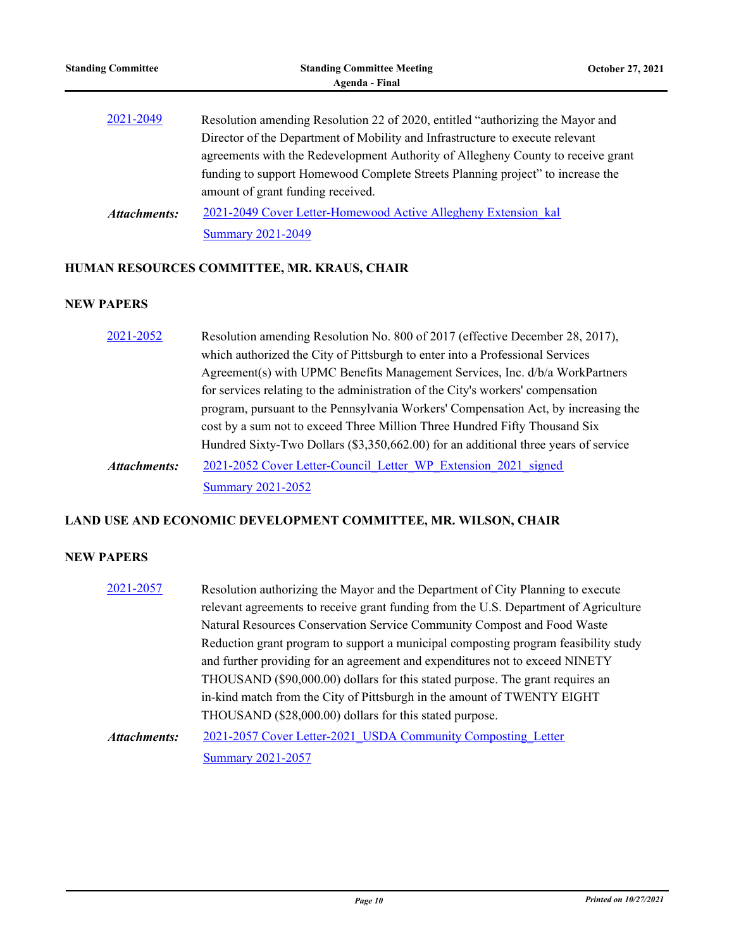| <b>Standing Committee</b> | <b>Standing Committee Meeting</b><br>Agenda - Final                                                                                                                                                                                                                                                                                                                        | <b>October 27, 2021</b> |
|---------------------------|----------------------------------------------------------------------------------------------------------------------------------------------------------------------------------------------------------------------------------------------------------------------------------------------------------------------------------------------------------------------------|-------------------------|
| 2021-2049                 | Resolution amending Resolution 22 of 2020, entitled "authorizing the Mayor and<br>Director of the Department of Mobility and Infrastructure to execute relevant<br>agreements with the Redevelopment Authority of Allegheny County to receive grant<br>funding to support Homewood Complete Streets Planning project" to increase the<br>amount of grant funding received. |                         |
| Attachments:              | 2021-2049 Cover Letter-Homewood Active Allegheny Extension kal<br><b>Summary 2021-2049</b>                                                                                                                                                                                                                                                                                 |                         |

# **HUMAN RESOURCES COMMITTEE, MR. KRAUS, CHAIR**

# **NEW PAPERS**

| 2021-2052                                                                          | Resolution amending Resolution No. 800 of 2017 (effective December 28, 2017),       |  |  |
|------------------------------------------------------------------------------------|-------------------------------------------------------------------------------------|--|--|
|                                                                                    | which authorized the City of Pittsburgh to enter into a Professional Services       |  |  |
|                                                                                    | Agreement(s) with UPMC Benefits Management Services, Inc. d/b/a WorkPartners        |  |  |
|                                                                                    | for services relating to the administration of the City's workers' compensation     |  |  |
| program, pursuant to the Pennsylvania Workers' Compensation Act, by increasing the |                                                                                     |  |  |
|                                                                                    | cost by a sum not to exceed Three Million Three Hundred Fifty Thousand Six          |  |  |
|                                                                                    | Hundred Sixty-Two Dollars (\$3,350,662.00) for an additional three years of service |  |  |
| Attachments:                                                                       | 2021-2052 Cover Letter-Council Letter WP Extension 2021 signed                      |  |  |
|                                                                                    | <b>Summary 2021-2052</b>                                                            |  |  |

# **LAND USE AND ECONOMIC DEVELOPMENT COMMITTEE, MR. WILSON, CHAIR**

# **NEW PAPERS**

| 2021-2057           | Resolution authorizing the Mayor and the Department of City Planning to execute      |
|---------------------|--------------------------------------------------------------------------------------|
|                     | relevant agreements to receive grant funding from the U.S. Department of Agriculture |
|                     | Natural Resources Conservation Service Community Compost and Food Waste              |
|                     | Reduction grant program to support a municipal composting program feasibility study  |
|                     | and further providing for an agreement and expenditures not to exceed NINETY         |
|                     | THOUSAND (\$90,000.00) dollars for this stated purpose. The grant requires an        |
|                     | in-kind match from the City of Pittsburgh in the amount of TWENTY EIGHT              |
|                     | THOUSAND (\$28,000.00) dollars for this stated purpose.                              |
| <b>Attachments:</b> | 2021-2057 Cover Letter-2021 USDA Community Composting Letter                         |
|                     | <b>Summary 2021-2057</b>                                                             |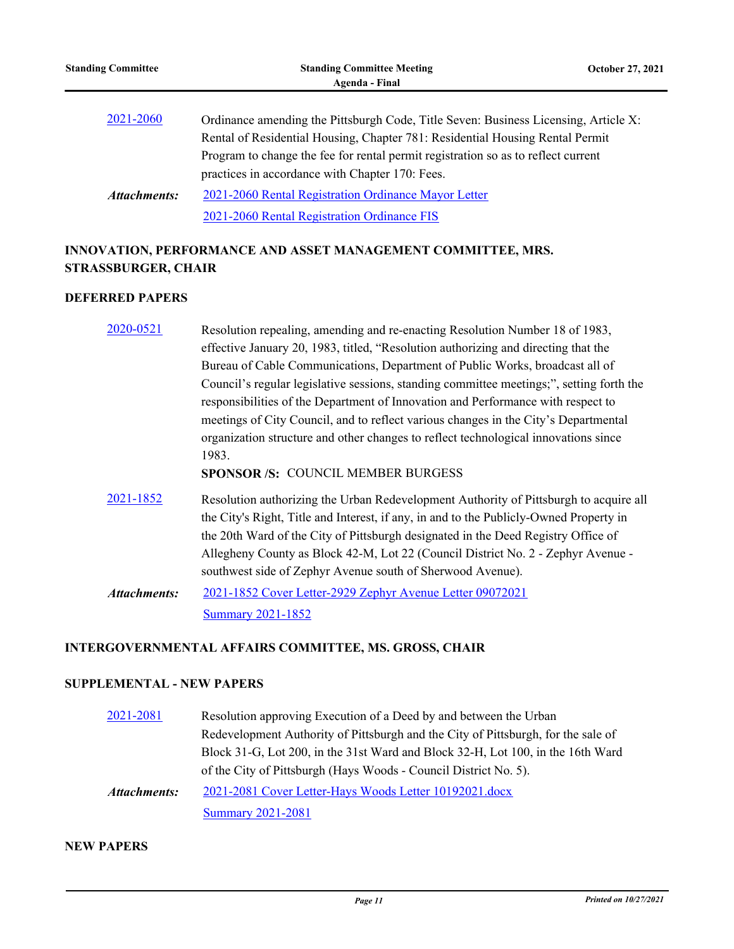practices in accordance with Chapter 170: Fees. [2021-2060 Rental Registration Ordinance Mayor Letter](http://pittsburgh.legistar.com/gateway.aspx?M=F&ID=001ab7be-74df-4241-9890-cf8c6f0c8d8e.docx) [2021-2060 Rental Registration Ordinance FIS](http://pittsburgh.legistar.com/gateway.aspx?M=F&ID=33bb510c-899f-4b45-9867-be79ec13000c.docx) *Attachments:*

# **INNOVATION, PERFORMANCE AND ASSET MANAGEMENT COMMITTEE, MRS. STRASSBURGER, CHAIR**

# **DEFERRED PAPERS**

| 2020-0521           | Resolution repealing, amending and re-enacting Resolution Number 18 of 1983,             |
|---------------------|------------------------------------------------------------------------------------------|
|                     | effective January 20, 1983, titled, "Resolution authorizing and directing that the       |
|                     | Bureau of Cable Communications, Department of Public Works, broadcast all of             |
|                     | Council's regular legislative sessions, standing committee meetings;", setting forth the |
|                     | responsibilities of the Department of Innovation and Performance with respect to         |
|                     | meetings of City Council, and to reflect various changes in the City's Departmental      |
|                     | organization structure and other changes to reflect technological innovations since      |
|                     | 1983.                                                                                    |
|                     | <b>SPONSOR/S: COUNCIL MEMBER BURGESS</b>                                                 |
| 2021-1852           | Resolution authorizing the Urban Redevelopment Authority of Pittsburgh to acquire all    |
|                     | the City's Right, Title and Interest, if any, in and to the Publicly-Owned Property in   |
|                     | the 20th Ward of the City of Pittsburgh designated in the Deed Registry Office of        |
|                     | Allegheny County as Block 42-M, Lot 22 (Council District No. 2 - Zephyr Avenue -         |
|                     | southwest side of Zephyr Avenue south of Sherwood Avenue).                               |
| <b>Attachments:</b> | 2021-1852 Cover Letter-2929 Zephyr Avenue Letter 09072021                                |
|                     | <b>Summary 2021-1852</b>                                                                 |

# **INTERGOVERNMENTAL AFFAIRS COMMITTEE, MS. GROSS, CHAIR**

## **SUPPLEMENTAL - NEW PAPERS**

| 2021-2081    | Resolution approving Execution of a Deed by and between the Urban                 |
|--------------|-----------------------------------------------------------------------------------|
|              | Redevelopment Authority of Pittsburgh and the City of Pittsburgh, for the sale of |
|              | Block 31-G, Lot 200, in the 31st Ward and Block 32-H, Lot 100, in the 16th Ward   |
|              | of the City of Pittsburgh (Hays Woods - Council District No. 5).                  |
| Attachments: | 2021-2081 Cover Letter-Hays Woods Letter 10192021.docx                            |
|              | <b>Summary 2021-2081</b>                                                          |

# **NEW PAPERS**